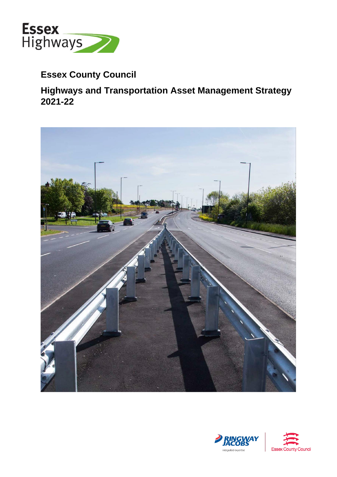

# **Essex County Council**

# **Highways and Transportation Asset Management Strategy 2021-22**





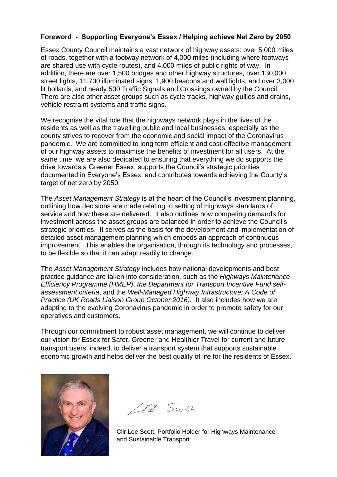# **Foreword - Supporting Everyone's Essex / Helping achieve Net Zero by 2050**

 Essex County Council maintains a vast network of highway assets: over 5,000 miles of roads, together with a footway network of 4,000 miles (including where footways are shared use with cycle routes), and 4,000 miles of public rights of way. In addition, there are over 1,500 bridges and other highway structures, over 130,000 street lights, 11,700 illuminated signs, 1,900 beacons and wall lights, and over 3,000 lit bollards, and nearly 500 Traffic Signals and Crossings owned by the Council. There are also other asset groups such as cycle tracks, highway gullies and drains, vehicle restraint systems and traffic signs.

We recognise the vital role that the highways network plays in the lives of the residents as well as the travelling public and local businesses, especially as the county strives to recover from the economic and social impact of the Coronavirus pandemic. We are committed to long term efficient and cost-effective management of our highway assets to maximise the benefits of investment for all users. At the same time, we are also dedicated to ensuring that everything we do supports the drive towards a Greener Essex, supports the Council's strategic priorities documented in Everyone's Essex, and contributes towards achieving the County's target of net zero by 2050.

The *Asset Management Strategy* is at the heart of the Council's investment planning, outlining how decisions are made relating to setting of Highways standards of service and how these are delivered. It also outlines how competing demands for investment across the asset groups are balanced in order to achieve the Council's strategic priorities. It serves as the basis for the development and implementation of detailed asset management planning which embeds an approach of continuous improvement. This enables the organisation, through its technology and processes, to be flexible so that it can adapt readily to change.

 *Practice (UK Roads Liaison Group October 2016).* It also includes how we are adapting to the evolving Coronavirus pandemic in order to promote safety for our The *Asset Management Strategy* includes how national developments and best practice guidance are taken into consideration, such as the *Highways Maintenance Efficiency Programme (HMEP)*, *the Department for Transport Incentive Fund selfassessment criteria*, and the *Well-Managed Highway Infrastructure: A Code of*  operatives and customers.

 transport users; indeed, to deliver a transport system that supports sustainable economic growth and helps deliver the best quality of life for the residents of Essex. Through our commitment to robust asset management, we will continue to deliver our vision for Essex for Safer, Greener and Healthier Travel for current and future



 $172$  Scott

 Cllr Lee Scott, Portfolio Holder for Highways Maintenance and Sustainable Transport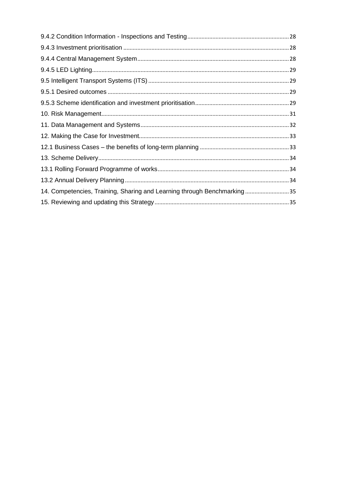| 14. Competencies, Training, Sharing and Learning through Benchmarking35 |  |
|-------------------------------------------------------------------------|--|
|                                                                         |  |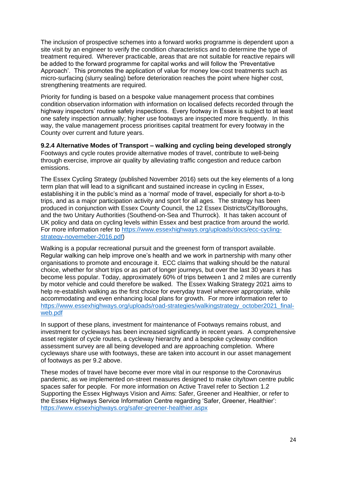site visit by an engineer to verify the condition characteristics and to determine the type of treatment required. Wherever practicable, areas that are not suitable for reactive repairs will be added to the forward programme for capital works and will follow the 'Preventative Approach'. This promotes the application of value for money low-cost treatments such as micro-surfacing (slurry sealing) before deterioration reaches the point where higher cost, strengthening treatments are required. The inclusion of prospective schemes into a forward works programme is dependent upon a

 Priority for funding is based on a bespoke value management process that combines condition observation information with information on localised defects recorded through the highway inspectors' routine safety inspections. Every footway in Essex is subject to at least one safety inspection annually; higher use footways are inspected more frequently. In this way, the value management process prioritises capital treatment for every footway in the County over current and future years.

 **9.2.4 Alternative Modes of Transport – walking and cycling being developed strongly**  Footways and cycle routes provide alternative modes of travel, contribute to well-being through exercise, improve air quality by alleviating traffic congestion and reduce carbon emissions.

emissions.<br>The Essex Cycling Strategy (published November 2016) sets out the key elements of a long term plan that will lead to a significant and sustained increase in cycling in Essex, establishing it in the public's mind as a 'normal' mode of travel, especially for short a-to-b trips, and as a major participation activity and sport for all ages. The strategy has been produced in conjunction with Essex County Council, the 12 Essex Districts/City/Boroughs, and the two Unitary Authorities (Southend-on-Sea and Thurrock). It has taken account of UK policy and data on cycling levels within Essex and best practice from around the world. For more information refer to [https://www.essexhighways.org/uploads/docs/ecc-cycling](https://www.essexhighways.org/uploads/docs/ecc-cycling-strategy-novemeber-2016.pdf)[strategy-novemeber-2016.pdf\)](https://www.essexhighways.org/uploads/docs/ecc-cycling-strategy-novemeber-2016.pdf)

 Walking is a popular recreational pursuit and the greenest form of transport available. Regular walking can help improve one's health and we work in partnership with many other organisations to promote and encourage it. ECC claims that walking should be the natural choice, whether for short trips or as part of longer journeys, but over the last 30 years it has become less popular. Today, approximately 60% of trips between 1 and 2 miles are currently by motor vehicle and could therefore be walked. The Essex Walking Strategy 2021 aims to help re-establish walking as the first choice for everyday travel wherever appropriate, while accommodating and even enhancing local plans for growth. For more information refer to [https://www.essexhighways.org/uploads/road-strategies/walkingstrategy\\_october2021\\_final](https://www.essexhighways.org/uploads/road-strategies/walkingstrategy_october2021_final-web.pdf)[web.pdf](https://www.essexhighways.org/uploads/road-strategies/walkingstrategy_october2021_final-web.pdf) 

 In support of these plans, investment for maintenance of Footways remains robust, and investment for cycleways has been increased significantly in recent years. A comprehensive asset register of cycle routes, a cycleway hierarchy and a bespoke cycleway condition assessment survey are all being developed and are approaching completion. Where cycleways share use with footways, these are taken into account in our asset management of footways as per 9.2 above.

 These modes of travel have become ever more vital in our response to the Coronavirus pandemic, as we implemented on-street measures designed to make city/town centre public spaces safer for people. For more information on Active Travel refer to Section 1.2 Supporting the Essex Highways Vision and Aims: Safer, Greener and Healthier, or refer to the Essex Highways Service Information Centre regarding 'Safer, Greener, Healthier': <https://www.essexhighways.org/safer-greener-healthier.aspx>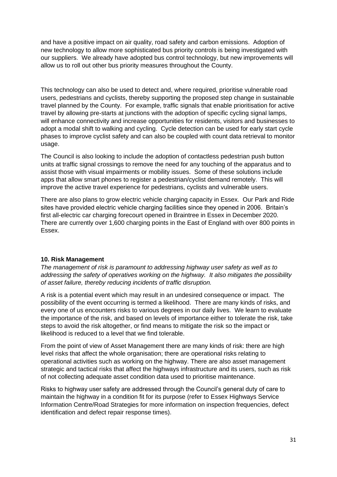and have a positive impact on air quality, road safety and carbon emissions. Adoption of new technology to allow more sophisticated bus priority controls is being investigated with our suppliers. We already have adopted bus control technology, but new improvements will allow us to roll out other bus priority measures throughout the County.

 This technology can also be used to detect and, where required, prioritise vulnerable road users, pedestrians and cyclists, thereby supporting the proposed step change in sustainable travel planned by the County. For example, traffic signals that enable prioritisation for active travel by allowing pre-starts at junctions with the adoption of specific cycling signal lamps, will enhance connectivity and increase opportunities for residents, visitors and businesses to adopt a modal shift to walking and cycling. Cycle detection can be used for early start cycle phases to improve cyclist safety and can also be coupled with count data retrieval to monitor usage.

usage.<br>The Council is also looking to include the adoption of contactless pedestrian push button units at traffic signal crossings to remove the need for any touching of the apparatus and to assist those with visual impairments or mobility issues. Some of these solutions include apps that allow smart phones to register a pedestrian/cyclist demand remotely. This will improve the active travel experience for pedestrians, cyclists and vulnerable users.

 There are also plans to grow electric vehicle charging capacity in Essex. Our Park and Ride sites have provided electric vehicle charging facilities since they opened in 2006. Britain's first all-electric car charging forecourt opened in Braintree in Essex in December 2020. There are currently over 1,600 charging points in the East of England with over 800 points in Essex.

### <span id="page-35-0"></span> **10. Risk Management**

The management of risk is paramount to addressing highway user safety as well as to  *addressing the safety of operatives working on the highway. It also mitigates the possibility of asset failure, thereby reducing incidents of traffic disruption.* 

 A risk is a potential event which may result in an undesired consequence or impact. The possibility of the event occurring is termed a likelihood. There are many kinds of risks, and every one of us encounters risks to various degrees in our daily lives. We learn to evaluate the importance of the risk, and based on levels of importance either to tolerate the risk, take steps to avoid the risk altogether, or find means to mitigate the risk so the impact or likelihood is reduced to a level that we find tolerable.

 From the point of view of Asset Management there are many kinds of risk: there are high level risks that affect the whole organisation; there are operational risks relating to operational activities such as working on the highway. There are also asset management strategic and tactical risks that affect the highways infrastructure and its users, such as risk of not collecting adequate asset condition data used to prioritise maintenance.

 Risks to highway user safety are addressed through the Council's general duty of care to maintain the highway in a condition fit for its purpose (refer to Essex Highways Service Information Centre/Road Strategies for more information on inspection frequencies, defect identification and defect repair response times).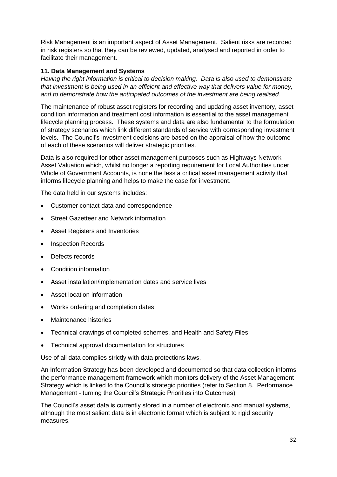Risk Management is an important aspect of Asset Management. Salient risks are recorded in risk registers so that they can be reviewed, updated, analysed and reported in order to facilitate their management.

## <span id="page-36-0"></span> **11. Data Management and Systems**

 *Having the right information is critical to decision making. Data is also used to demonstrate that investment is being used in an efficient and effective way that delivers value for money, and to demonstrate how the anticipated outcomes of the investment are being realised.* 

 The maintenance of robust asset registers for recording and updating asset inventory, asset condition information and treatment cost information is essential to the asset management lifecycle planning process. These systems and data are also fundamental to the formulation of strategy scenarios which link different standards of service with corresponding investment levels. The Council's investment decisions are based on the appraisal of how the outcome of each of these scenarios will deliver strategic priorities.

 Data is also required for other asset management purposes such as Highways Network Asset Valuation which, whilst no longer a reporting requirement for Local Authorities under Whole of Government Accounts, is none the less a critical asset management activity that informs lifecycle planning and helps to make the case for investment.

The data held in our systems includes:

- Customer contact data and correspondence
- Street Gazetteer and Network information
- Asset Registers and Inventories
- Inspection Records
- Defects records
- Condition information
- Asset installation/implementation dates and service lives
- Asset location information
- Works ordering and completion dates
- Maintenance histories
- Technical drawings of completed schemes, and Health and Safety Files
- Technical approval documentation for structures

Use of all data complies strictly with data protections laws.

 An Information Strategy has been developed and documented so that data collection informs the performance management framework which monitors delivery of the Asset Management Strategy which is linked to the Council's strategic priorities (refer to Section 8. Performance Management - turning the Council's Strategic Priorities into Outcomes).

 The Council's asset data is currently stored in a number of electronic and manual systems, although the most salient data is in electronic format which is subject to rigid security measures.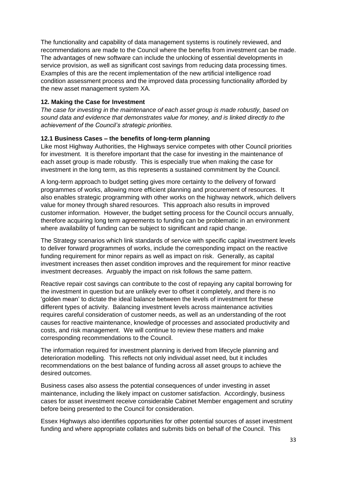The functionality and capability of data management systems is routinely reviewed, and recommendations are made to the Council where the benefits from investment can be made. The advantages of new software can include the unlocking of essential developments in service provision, as well as significant cost savings from reducing data processing times. Examples of this are the recent implementation of the new artificial intelligence road condition assessment process and the improved data processing functionality afforded by the new asset management system XA.

### <span id="page-37-0"></span> **12. Making the Case for Investment**

The case for investing in the maintenance of each asset group is made robustly, based on  *sound data and evidence that demonstrates value for money, and is linked directly to the achievement of the Council's strategic priorities.* 

## <span id="page-37-1"></span> **12.1 Business Cases – the benefits of long-term planning**

 Like most Highway Authorities, the Highways service competes with other Council priorities for investment. It is therefore important that the case for investing in the maintenance of each asset group is made robustly. This is especially true when making the case for investment in the long term, as this represents a sustained commitment by the Council.

 A long-term approach to budget setting gives more certainty to the delivery of forward programmes of works, allowing more efficient planning and procurement of resources. It also enables strategic programming with other works on the highway network, which delivers value for money through shared resources. This approach also results in improved customer information. However, the budget setting process for the Council occurs annually, therefore acquiring long term agreements to funding can be problematic in an environment where availability of funding can be subject to significant and rapid change.

 The Strategy scenarios which link standards of service with specific capital investment levels to deliver forward programmes of works, include the corresponding impact on the reactive funding requirement for minor repairs as well as impact on risk. Generally, as capital investment increases then asset condition improves and the requirement for minor reactive investment decreases. Arguably the impact on risk follows the same pattern.

 Reactive repair cost savings can contribute to the cost of repaying any capital borrowing for the investment in question but are unlikely ever to offset it completely, and there is no 'golden mean' to dictate the ideal balance between the levels of investment for these different types of activity. Balancing investment levels across maintenance activities requires careful consideration of customer needs, as well as an understanding of the root causes for reactive maintenance, knowledge of processes and associated productivity and costs, and risk management. We will continue to review these matters and make corresponding recommendations to the Council.

 The information required for investment planning is derived from lifecycle planning and deterioration modelling. This reflects not only individual asset need, but it includes recommendations on the best balance of funding across all asset groups to achieve the desired outcomes.

 Business cases also assess the potential consequences of under investing in asset maintenance, including the likely impact on customer satisfaction. Accordingly, business cases for asset investment receive considerable Cabinet Member engagement and scrutiny before being presented to the Council for consideration.

 Essex Highways also identifies opportunities for other potential sources of asset investment funding and where appropriate collates and submits bids on behalf of the Council. This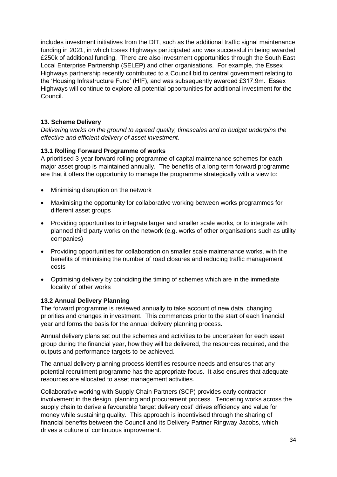includes investment initiatives from the DfT, such as the additional traffic signal maintenance funding in 2021, in which Essex Highways participated and was successful in being awarded £250k of additional funding. There are also investment opportunities through the South East Local Enterprise Partnership (SELEP) and other organisations. For example, the Essex Highways partnership recently contributed to a Council bid to central government relating to the 'Housing Infrastructure Fund' (HIF), and was subsequently awarded £317.9m. Essex Highways will continue to explore all potential opportunities for additional investment for the Council.

# <span id="page-38-0"></span> **13. Scheme Delivery**

 *Delivering works on the ground to agreed quality, timescales and to budget underpins the effective and efficient delivery of asset investment.* 

### <span id="page-38-1"></span> **13.1 Rolling Forward Programme of works**

 A prioritised 3-year forward rolling programme of capital maintenance schemes for each major asset group is maintained annually. The benefits of a long-term forward programme are that it offers the opportunity to manage the programme strategically with a view to:

- Minimising disruption on the network
- • Maximising the opportunity for collaborative working between works programmes for different asset groups
- • Providing opportunities to integrate larger and smaller scale works, or to integrate with planned third party works on the network (e.g. works of other organisations such as utility companies)
- • Providing opportunities for collaboration on smaller scale maintenance works, with the benefits of minimising the number of road closures and reducing traffic management costs
- • Optimising delivery by coinciding the timing of schemes which are in the immediate locality of other works

### <span id="page-38-2"></span> **13.2 Annual Delivery Planning**

 The forward programme is reviewed annually to take account of new data, changing priorities and changes in investment. This commences prior to the start of each financial year and forms the basis for the annual delivery planning process.

 Annual delivery plans set out the schemes and activities to be undertaken for each asset group during the financial year, how they will be delivered, the resources required, and the outputs and performance targets to be achieved.

 The annual delivery planning process identifies resource needs and ensures that any potential recruitment programme has the appropriate focus. It also ensures that adequate resources are allocated to asset management activities.

 Collaborative working with Supply Chain Partners (SCP) provides early contractor involvement in the design, planning and procurement process. Tendering works across the supply chain to derive a favourable 'target delivery cost' drives efficiency and value for money while sustaining quality. This approach is incentivised through the sharing of financial benefits between the Council and its Delivery Partner Ringway Jacobs, which drives a culture of continuous improvement.